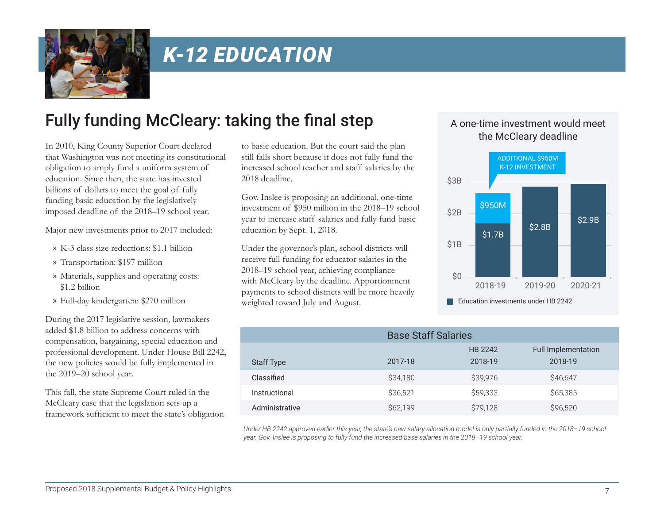

# *K-12 EDUCATION*

## Fully funding McCleary: taking the final step

In 2010, King County Superior Court declared that Washington was not meeting its constitutional obligation to amply fund a uniform system of education. Since then, the state has invested billions of dollars to meet the goal of fully funding basic education by the legislatively imposed deadline of the 2018–19 school year.

Major new investments prior to 2017 included:

- » K-3 class size reductions: \$1.1 billion
- » Transportation: \$197 million
- » Materials, supplies and operating costs: \$1.2 billion
- » Full-day kindergarten: \$270 million

During the 2017 legislative session, lawmakers added \$1.8 billion to address concerns with compensation, bargaining, special education and professional development. Under House Bill 2242, the new policies would be fully implemented in the 2019–20 school year.

This fall, the state Supreme Court ruled in the McCleary case that the legislation sets up a framework sufficient to meet the state's obligation

to basic education. But the court said the plan still falls short because it does not fully fund the increased school teacher and staff salaries by the 2018 deadline.

Gov. Inslee is proposing an additional, one-time investment of \$950 million in the 2018–19 school year to increase staff salaries and fully fund basic education by Sept. 1, 2018.

Under the governor's plan, school districts will receive full funding for educator salaries in the 2018–19 school year, achieving compliance with McCleary by the deadline. Apportionment payments to school districts will be more heavily weighted toward July and August.

#### A one-time investment would meet the McCleary deadline



|                   | <b>Base Staff Salaries</b> |                    |                                       |
|-------------------|----------------------------|--------------------|---------------------------------------|
| <b>Staff Type</b> | 2017-18                    | HB 2242<br>2018-19 | <b>Full Implementation</b><br>2018-19 |
| Classified        | \$34,180                   | \$39,976           | \$46,647                              |
| Instructional     | \$36.521                   | \$59,333           | \$65,385                              |
| Administrative    | S62.199                    | \$79,128           | \$96,520                              |

*Under HB 2242 approved earlier this year, the state's new salary allocation model is only partially funded in the 2018–19 school year. Gov. Inslee is proposing to fully fund the increased base salaries in the 2018–19 school year.*